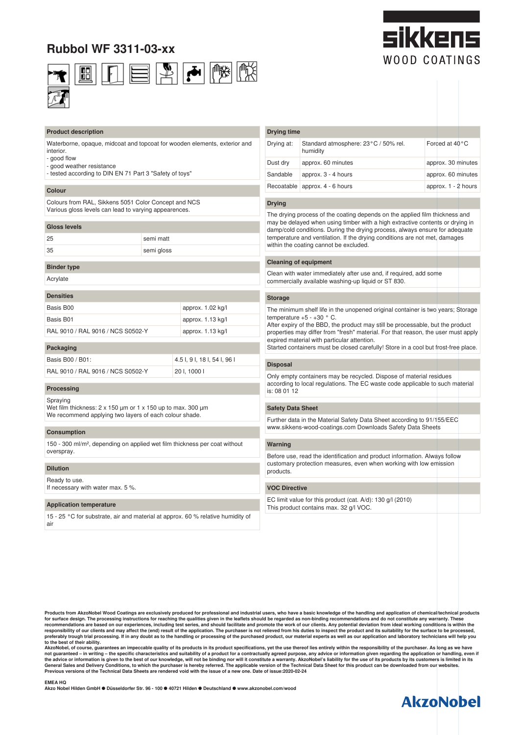# **Rubbol WF 3311-03-xx**



#### **Product description**

Waterborne, opaque, midcoat and topcoat for wooden elements, exterior and **interior** 

- good flow

- good weather resistance
- tested according to DIN EN 71 Part 3 "Safety of toys"

#### **Colour**

Colours from RAL, Sikkens 5051 Color Concept and NCS Various gloss levels can lead to varying appearences.

#### **Gloss levels**

| 35<br>semi gloss | 25 | semi matt |
|------------------|----|-----------|
|                  |    |           |

## **Binder type**

Acrylate

| <b>Densities</b> |  |  |
|------------------|--|--|
| Basis B00        |  |  |

| Packaging                         |                   |
|-----------------------------------|-------------------|
| RAL 9010 / RAL 9016 / NCS S0502-Y | approx. 1.13 kg/l |
| Basis B01                         | approx. 1.13 kg/l |
| <b>DUUD DUU</b>                   | uppoint           |

approx. 1.02 kg/l

| Basis B00 / B01:                  | 4.5 I, 9 I, 18 I, 54 I, 96 I |
|-----------------------------------|------------------------------|
| RAL 9010 / RAL 9016 / NCS S0502-Y | 201, 10001                   |

#### **Processing**

Spraying

Wet film thickness:  $2 \times 150$  µm or  $1 \times 150$  up to max. 300 µm We recommend applying two layers of each colour shade.

#### **Consumption**

150 - 300 ml/m², depending on applied wet film thickness per coat without overspray.

#### **Dilution**

Ready to use. If necessary with water max. 5 %.

#### **Application temperature**

15 - 25 °C for substrate, air and material at approx. 60 % relative humidity of air

### **Drying time** Drying at: Standard atmosphere: 23°C / 50% rel. humidity Forced at 40°C Dust dry approx. 60 minutes approx. 30 minutes Sandable approx. 3 - 4 hours approx. 60 minutes  $Recoatable \text{ above}$ , 4 - 6 hours approx. 1 - 2 hours

#### **Drying**

The drying process of the coating depends on the applied film thickness and may be delayed when using timber with a high extractive contents or drying in damp/cold conditions. During the drying process, always ensure for adequate temperature and ventilation. If the drying conditions are not met, damages within the coating cannot be excluded.

#### **Cleaning of equipment**

Clean with water immediately after use and, if required, add some commercially available washing-up liquid or ST 830.

#### **Storage**

The minimum shelf life in the unopened original container is two years; Storage temperature  $+5 - +30$  ° C.

After expiry of the BBD, the product may still be processable, but the product properties may differ from "fresh" material. For that reason, the user must apply expired material with particular attention.

Started containers must be closed carefully! Store in a cool but frost-free place.

#### **Disposal**

Only empty containers may be recycled. Dispose of material residues according to local regulations. The EC waste code applicable to such material is: 08 01 12

#### **Safety Data Sheet**

Further data in the Material Safety Data Sheet according to 91/155/EEC www.sikkens-wood-coatings.com Downloads Safety Data Sheets

#### **Warning**

Before use, read the identification and product information. Always follow customary protection measures, even when working with low emission products.

#### **VOC Directive**

EC limit value for this product (cat. A/d): 130 g/l (2010) This product contains max. 32 g/l VOC.

**Products from AkzoNobel Wood Coatings are exclusively produced for professional and industrial users, who have a basic knowledge of the handling and application of chemical/technical products** for surface design. The processing instructions for reaching the qualities given in the leaflets should be regarded as non-binding recommendations and do not constitute any warranty. These<br>recommendations are based on our **preferably trough trial processing. If in any doubt as to the handling or processing of the purchased product, our material experts as well as our application and laboratory technicians will help you to the best of their ability.**

AkzoNobel, of course, guarantees an impeccable quality of its products in its product specifications, yet the use thereof lies entirely within the responsibility of a product or a contractually agreed purpose, any advice o

#### **EMEA HQ**

**Akzo Nobel Hilden GmbH** ● **Düsseldorfer Str. 96 - 100** ● **40721 Hilden** ● **Deutschland** ● **www.akzonobel.com/wood** 



# :ikkene WOOD COATINGS